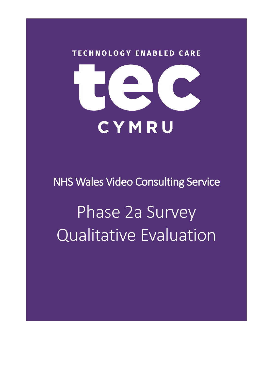

NHS Wales Video Consulting Service

Phase 2a Survey Qualitative Evaluation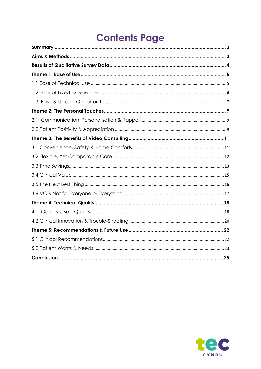# **Contents Page**

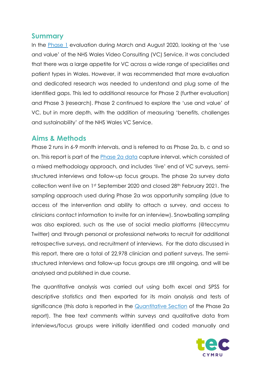## <span id="page-2-0"></span>**Summary**

In the [Phase 1](https://digitalhealth.wales/tec-cymru/how-we-can-help/evidence/eval-reports) evaluation during March and August 2020, looking at the 'use and value' of the NHS Wales Video Consulting (VC) Service, it was concluded that there was a large appetite for VC across a wide range of specialities and patient types in Wales. However, it was recommended that more evaluation and dedicated research was needed to understand and plug some of the identified gaps. This led to additional resource for Phase 2 (further evaluation) and Phase 3 (research). Phase 2 continued to explore the 'use and value' of VC, but in more depth, with the addition of measuring 'benefits, challenges and sustainability' of the NHS Wales VC Service.

## <span id="page-2-1"></span>**Aims & Methods**

Phase 2 runs in 6-9 month intervals, and is referred to as Phase 2a, b, c and so on. This report is part of the [Phase 2a data](https://digitalhealth.wales/tec-cymru/how-we-can-help/evidence/eval-reports/vc-phase-2a) capture interval, which consisted of a mixed methodology approach, and includes 'live' end of VC surveys, semistructured interviews and follow-up focus groups. The phase 2a survey data collection went live on 1st September 2020 and closed 28th February 2021. The sampling approach used during Phase 2a was opportunity sampling (due to access of the intervention and ability to attach a survey, and access to clinicians contact information to invite for an interview). Snowballing sampling was also explored, such as the use of social media platforms (@teccymru Twitter) and through personal or professional networks to recruit for additional retrospective surveys, and recruitment of interviews. For the data discussed in this report, there are a total of 22,978 clinician and patient surveys. The semistructured interviews and follow-up focus groups are still ongoing, and will be analysed and published in due course.

The quantitative analysis was carried out using both excel and SPSS for descriptive statistics and then exported for its main analysis and tests of significance (this data is reported in the [Quantitative Section](https://digitalhealth.wales/sites/default/files/2021-06/NHSW_VC_P2%20Data%20All%20Wales_V1.0%20FINAL_June21.pdf) of the Phase 2a report). The free text comments within surveys and qualitative data from interviews/focus groups were initially identified and coded manually and

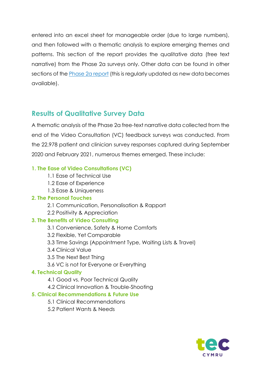entered into an excel sheet for manageable order (due to large numbers), and then followed with a thematic analysis to explore emerging themes and patterns. This section of the report provides the qualitative data (free text narrative) from the Phase 2a surveys only. Other data can be found in other sections of the [Phase 2a report](https://digitalhealth.wales/tec-cymru/how-we-can-help/evidence/eval-reports/vc-phase-2a) (this is regularly updated as new data becomes available).

## <span id="page-3-0"></span>**Results of Qualitative Survey Data**

A thematic analysis of the Phase 2a free-text narrative data collected from the end of the Video Consultation (VC) feedback surveys was conducted. From the 22,978 patient and clinician survey responses captured during September 2020 and February 2021, numerous themes emerged. These include:

#### **1. The Ease of Video Consultations (VC)**

- 1.1 Ease of Technical Use
- 1.2 Ease of Experience
- 1.3 Ease & Uniqueness

#### **2. The Personal Touches**

- 2.1 Communication, Personalisation & Rapport
- 2.2 Positivity & Appreciation

#### **3. The Benefits of Video Consulting**

- 3.1 Convenience, Safety & Home Comforts
- 3.2 Flexible, Yet Comparable
- 3.3 Time Savings (Appointment Type, Waiting Lists & Travel)
- 3.4 Clinical Value
- 3.5 The Next Best Thing
- 3.6 VC is not for Everyone or Everything

#### **4. Technical Quality**

- 4.1 Good vs. Poor Technical Quality
- 4.2 Clinical Innovation & Trouble-Shooting

#### **5. Clinical Recommendations & Future Use**

- 5.1 Clinical Recommendations
- 5.2 Patient Wants & Needs

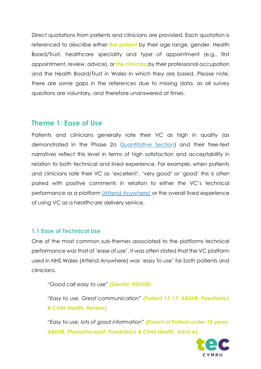Direct quotations from patients and clinicians are provided. Each quotation is referenced to describe either **the patient** by their age range, gender, Health Board/Trust, healthcare speciality and type of appointment (e.g., first appointment, review, advice), or **the clinician** by their professional occupation and the Health Board/Trust in Wales in which they are based. Please note, there are some gaps in the references due to missing data, as all survey questions are voluntary, and therefore unanswered at times.

## <span id="page-4-0"></span>**Theme 1: Ease of Use**

Patients and clinicians generally rate their VC as high in quality (as demonstrated in the Phase 2a [Quantitative Section\)](https://digitalhealth.wales/tec-cymru/how-we-can-help/evidence/eval-reports/vc-phase-2a) and their free-text narratives reflect this level in terms of high satisfaction and acceptability in relation to both technical and lived experience. For example, when patients and clinicians rate their VC as 'excellent', 'very good' or 'good' this is often paired with positive comments in relation to either the VC's technical performance as a platform [\(Attend Anywhere\)](https://digitalhealth.wales/tec-cymru/vc-service) or the overall lived experience of using VC as a healthcare delivery service.

#### <span id="page-4-1"></span>**1.1 Ease of Technical Use**

One of the most common sub-themes associated to the platforms technical performance was that of 'ease of use'. It was often stated that the VC platform used in NHS Wales (Attend Anywhere) was 'easy to use' for both patients and clinicians.

*"Good call easy to use" (Dentist, HDUHB)*

*"Easy to use. Great communication" (Patient 13-17, ABUHB, Paediatrics & Child Health, Review)*

*"Easy to use, lots of good information" (Parent of Patient under 12 years, ABUHB, Physiotherapist, Paediatrics & Child Health, Advice)*

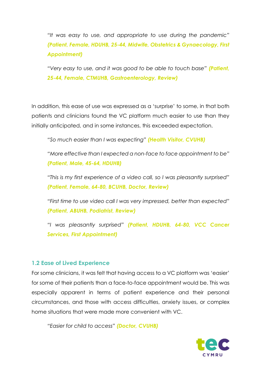*"It was easy to use, and appropriate to use during the pandemic" (Patient, Female, HDUHB, 25-44, Midwife, Obstetrics & Gynaecology, First Appointment)*

*"Very easy to use, and it was good to be able to touch base" (Patient, 25-44, Female, CTMUHB, Gastroenterology, Review)*

In addition, this ease of use was expressed as a 'surprise' to some, in that both patients and clinicians found the VC platform much easier to use than they initially anticipated, and in some instances, this exceeded expectation.

*"So much easier than I was expecting" (Health Visitor, CVUHB)*

*"More effective than I expected a non-face to face appointment to be" (Patient, Male, 45-64, HDUHB)*

*"This is my first experience of a video call, so I was pleasantly surprised" (Patient, Female, 64-80, BCUHB, Doctor, Review)*

*"First time to use video call I was very impressed, better than expected" (Patient, ABUHB, Podiatrist, Review)* 

*"I was pleasantly surprised" (Patient, HDUHB, 64-80, VCC Cancer Services, First Appointment)*

#### <span id="page-5-0"></span>**1.2 Ease of Lived Experience**

For some clinicians, it was felt that having access to a VC platform was 'easier' for some of their patients than a face-to-face appointment would be. This was especially apparent in terms of patient experience and their personal circumstances, and those with access difficulties, anxiety issues, or complex home situations that were made more convenient with VC.

*"Easier for child to access" (Doctor, CVUHB)*

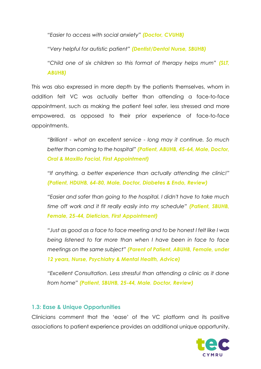*"Easier to access with social anxiety" (Doctor, CVUHB)*

*"Very helpful for autistic patient" (Dentist/Dental Nurse, SBUHB)*

*"Child one of six children so this format of therapy helps mum" (SLT, ABUHB)*

This was also expressed in more depth by the patients themselves, whom in addition felt VC was actually better than attending a face-to-face appointment, such as making the patient feel safer, less stressed and more empowered, as opposed to their prior experience of face-to-face appointments.

*"Brilliant - what an excellent service - long may it continue. So much better than coming to the hospital" (Patient, ABUHB, 45-64, Male, Doctor, Oral & Maxillo Facial, First Appointment)*

*"If anything, a better experience than actually attending the clinic!" (Patient, HDUHB, 64-80, Male, Doctor, Diabetes & Endo, Review)*

*"Easier and safer than going to the hospital. I didn't have to take much time off work and it fit really easily into my schedule" (Patient, SBUHB, Female, 25-44, Dietician, First Appointment)*

*"Just as good as a face to face meeting and to be honest I felt like I was being listened to far more than when I have been in face to face meetings on the same subject" (Parent of Patient, ABUHB, Female, under 12 years, Nurse, Psychiatry & Mental Health, Advice)*

*"Excellent Consultation. Less stressful than attending a clinic as it done from home" (Patient, SBUHB, 25-44, Male, Doctor, Review)*

#### <span id="page-6-0"></span>**1.3: Ease & Unique Opportunities**

Clinicians comment that the 'ease' of the VC platform and its positive associations to patient experience provides an additional unique opportunity.

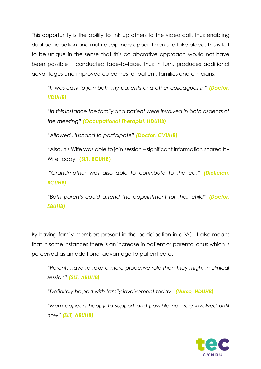This opportunity is the ability to link up others to the video call, thus enabling dual participation and multi-disciplinary appointments to take place. This is felt to be unique in the sense that this collaborative approach would not have been possible if conducted face-to-face, thus in turn, produces additional advantages and improved outcomes for patient, families and clinicians.

*"It was easy to join both my patients and other colleagues in" (Doctor, HDUHB)*

*"In this instance the family and patient were involved in both aspects of the meeting" (Occupational Therapist, HDUHB)*

*"Allowed Husband to participate" (Doctor, CVUHB)*

"Also, his Wife was able to join session – significant information shared by Wife today" **(SLT, BCUHB)**

*"Grandmother was also able to contribute to the call" (Dietician, BCUHB)*

*"Both parents could attend the appointment for their child" (Doctor, SBUHB)*

By having family members present in the participation in a VC, it also means that in some instances there is an increase in patient or parental onus which is perceived as an additional advantage to patient care.

*"Parents have to take a more proactive role than they might in clinical session" (SLT, ABUHB)*

*"Definitely helped with family involvement today" (Nurse, HDUHB)*

*"Mum appears happy to support and possible not very involved until now" (SLT, ABUHB)*

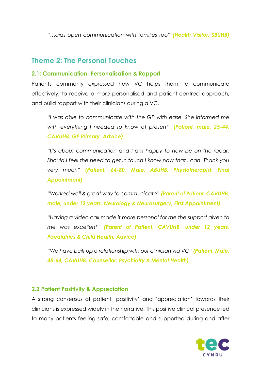*"…aids open communication with families too" (Health Visitor, SBUHB)*

## <span id="page-8-0"></span>**Theme 2: The Personal Touches**

#### <span id="page-8-1"></span>**2.1: Communication, Personalisation & Rapport**

Patients commonly expressed how VC helps them to communicate effectively, to receive a more personalised and patient-centred approach, and build rapport with their clinicians during a VC.

*"I was able to communicate with the GP with ease. She informed me with everything I needed to know at present" (Patient, male, 25-44, CAVUHB, GP Primary, Advice)*

*"It's about communication and I am happy to now be on the radar. Should I feel the need to get in touch I know now that I can. Thank you very much" (Patient, 64-80, Male, ABUHB, Physiotherapist, Final Appointment)*

*"Worked well & great way to communicate" (Parent of Patient, CAVUHB, male, under 12 years, Neurology & Neurosurgery, First Appointment)*

*"Having a video call made it more personal for me the support given to me was excellent" (Parent of Patient, CAVUHB, under 12 years, Paediatrics & Child Health, Advice)*

*"We have built up a relationship with our clinician via VC" (Patient, Male, 45-64, CAVUHB, Counsellor, Psychiatry & Mental Health)*

#### <span id="page-8-2"></span>**2.2 Patient Positivity & Appreciation**

A strong consensus of patient 'positivity' and 'appreciation' towards their clinicians is expressed widely in the narrative. This positive clinical presence led to many patients feeling safe, comfortable and supported during and after

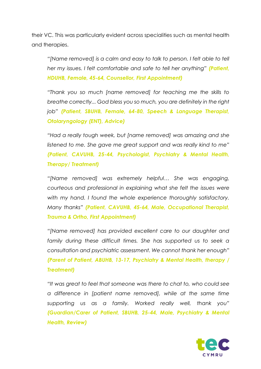their VC. This was particularly evident across specialities such as mental health and therapies.

*"[Name removed] is a calm and easy to talk to person. I felt able to tell her my issues. I felt comfortable and safe to tell her anything" (Patient, HDUHB, Female, 45-64, Counsellor, First Appointment)* 

*"Thank you so much [name removed] for teaching me the skills to breathe correctly... God bless you so much, you are definitely in the right job" (Patient, SBUHB, Female, 64-80, Speech & Language Therapist, Otolaryngology (ENT), Advice)*

*"Had a really tough week, but [name removed] was amazing and she listened to me. She gave me great support and was really kind to me" (Patient, CAVUHB, 25-44, Psychologist, Psychiatry & Mental Health, Therapy/ Treatment)*

*"[Name removed] was extremely helpful… She was engaging, courteous and professional in explaining what she felt the issues were with my hand. I found the whole experience thoroughly satisfactory. Many thanks" (Patient, CAVUHB, 45-64, Male, Occupational Therapist, Trauma & Ortho, First Appointment)* 

*"[Name removed] has provided excellent care to our daughter and family during these difficult times. She has supported us to seek a consultation and psychiatric assessment. We cannot thank her enough" (Parent of Patient, ABUHB, 13-17, Psychiatry & Mental Health, therapy / Treatment)*

*"It was great to feel that someone was there to chat to, who could see a difference in [patient name removed], while at the same time supporting us as a family. Worked really well, thank you" (Guardian/Carer of Patient, SBUHB, 25-44, Male, Psychiatry & Mental Health, Review)*

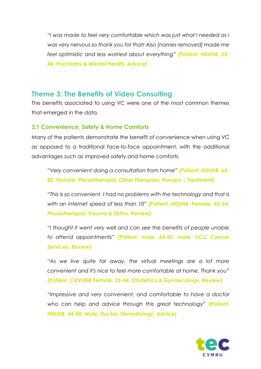*"I was made to feel very comfortable which was just what I needed as I was very nervous so thank you for that! Also [names removed] made me feel optimistic and less worried about everything" (Patient, HDUHB, 25- 44, Psychiatry & Mental Health, Advice)*

## <span id="page-10-0"></span>**Theme 3: The Benefits of Video Consulting**

The benefits associated to using VC were one of the most common themes that emerged in the data.

#### <span id="page-10-1"></span>**3.1 Convenience, Safety & Home Comforts**

Many of the patients demonstrate the benefit of convenience when using VC as opposed to a traditional face-to-face appointment, with the additional advantages such as improved safety and home comforts.

*"Very convenient doing a consultation from home" (Patient, HDUHB, 64- 80, Female, Physiotherapist, Other Therapies, therapy / Treatment)*

*"This is so convenient. I had no problems with the technology and that is with an internet speed of less than 10" (Patient, HDUHB, Female, 45-64, Physiotherapist, Trauma & Ortho, Review)*

*"I thought it went very well and can see the benefits of people unable to attend appointments" (Patient, male, 64-80, male, VCC Cancer Services, Review)*

*"As we live quite far away, the virtual meetings are a lot more convenient and it's nice to feel more comfortable at home. Thank you" (Patient, CAVUHB Female, 25-44, Obstetrics & Gynaecology, Review)*

*"Impressive and very convenient, and comfortable to have a doctor who can help and advice through this great technology" (Patient, HDUHB, 64-80, Male, Doctor, Dermatology, Advice)*

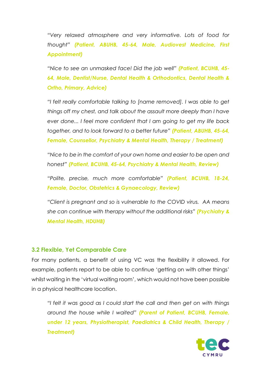*"Very relaxed atmosphere and very informative. Lots of food for thought" (Patient, ABUHB, 45-64, Male, Audiovest Medicine, First Appointment)*

*"Nice to see an unmasked face! Did the job well" (Patient, BCUHB, 45- 64, Male, Dentist/Nurse, Dental Health & Orthodontics, Dental Health & Ortho, Primary, Advice)*

*"I felt really comfortable talking to [name removed]. I was able to get things off my chest, and talk about the assault more deeply than I have ever done... I feel more confident that I am going to get my life back together, and to look forward to a better future" (Patient, ABUHB, 45-64, Female, Counsellor, Psychiatry & Mental Health, Therapy / Treatment)*

*"Nice to be in the comfort of your own home and easier to be open and honest" (Patient, BCUHB, 45-64, Psychiatry & Mental Health, Review)*

*"Polite, precise, much more comfortable" (Patient, BCUHB, 18-24, Female, Doctor, Obstetrics & Gynaecology, Review)*

*"Client is pregnant and so is vulnerable to the COVID virus. AA means she can continue with therapy without the additional risks" (Psychiatry & Mental Health, HDUHB)*

#### <span id="page-11-0"></span>**3.2 Flexible, Yet Comparable Care**

For many patients, a benefit of using VC was the flexibility it allowed. For example, patients report to be able to continue 'getting on with other things' whilst waiting in the 'virtual waiting room', which would not have been possible in a physical healthcare location.

*"I felt it was good as I could start the call and then get on with things around the house while I waited" (Parent of Patient, BCUHB, Female, under 12 years, Physiotherapist, Paediatrics & Child Health, Therapy / Treatment)*

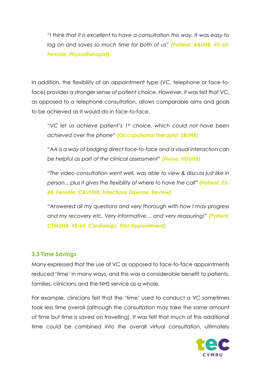*"I think that it is excellent to have a consultation this way. It was easy to log on and saves so much time for both of us" (Patient, ABUHB, 45-64, Female, Physiotherapist)*

In addition, the flexibility of an appointment type (VC, telephone or face-toface) provides a stronger sense of patient choice. However, it was felt that VC, as opposed to a telephone consultation, allows comparable aims and goals to be achieved as it would do in face-to-face.

*"VC let us achieve patient's 1st choice, which could not have been achieved over the phone" (Occupational therapist, SBUHB)*

*"AA is a way of bridging direct face-to-face and a visual interaction can be helpful as part of the clinical assessment" (Nurse, HDUHB)*

*"The video consultation went well, was able to view & discuss just like in person... plus it gives the flexibility of where to have the call" (Patient, 25- 44, Female, CAVUHB, Infectious Disease, Review)*

*"Answered all my questions and very thorough with how I may progress and my recovery etc. Very informative… and very reassuring!" (Patient, CTMUHB, 45-64, Cardiology, First Appointment)*

#### <span id="page-12-0"></span>**3.3 Time Savings**

Many expressed that the use of VC as opposed to face-to-face appointments reduced 'time' in many ways, and this was a considerable benefit to patients, families, clinicians and the NHS service as a whole.

For example, clinicians felt that the 'time' used to conduct a VC sometimes took less time overall (although the consultation may take the same amount of time but time is saved on travelling). It was felt that much of this additional time could be combined into the overall virtual consultation, ultimately

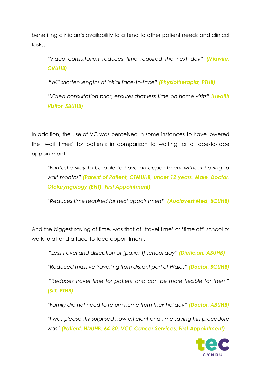benefiting clinician's availability to attend to other patient needs and clinical tasks.

*"Video consultation reduces time required the next day" (Midwife, CVUHB)*

*"Will shorten lengths of initial face-to-face" (Physiotherapist, PTHB)*

*"Video consultation prior, ensures that less time on home visits" (Health Visitor, SBUHB)*

In addition, the use of VC was perceived in some instances to have lowered the 'wait times' for patients in comparison to waiting for a face-to-face appointment.

*"Fantastic way to be able to have an appointment without having to wait months" (Parent of Patient, CTMUHB, under 12 years, Male, Doctor, Otolaryngology (ENT), First Appointment)*

*"Reduces time required for next appointment" (Audiovest Med, BCUHB)*

And the biggest saving of time, was that of 'travel time' or 'time off' school or work to attend a face-to-face appointment.

*"Less travel and disruption of [patient] school day" (Dietician, ABUHB)*

*"Reduced massive travelling from distant part of Wales" (Doctor, BCUHB)*

*"Reduces travel time for patient and can be more flexible for them" (SLT, PTHB)* 

*"Family did not need to return home from their holiday" (Doctor, ABUHB)*

*"I was pleasantly surprised how efficient and time saving this procedure was" (Patient, HDUHB, 64-80, VCC Cancer Services, First Appointment)*

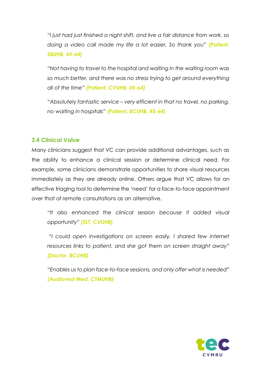*"I just had just finished a night shift, and live a fair distance from work, so doing a video call made my life a lot easier. So thank you" (Patient, SBUHB, 45-64)*

*"Not having to travel to the hospital and waiting in the waiting room was so much better, and there was no stress trying to get around everything all of the time" (Patient, CVUHB, 45-64)*

*"Absolutely fantastic service – very efficient in that no travel, no parking, no waiting in hospitals" (Patient, BCUHB, 45-64)*

### <span id="page-14-0"></span>**3.4 Clinical Value**

Many clinicians suggest that VC can provide additional advantages, such as the ability to enhance a clinical session or determine clinical need. For example, some clinicians demonstrate opportunities to share visual resources immediately as they are already online. Others argue that VC allows for an effective triaging tool to determine the 'need' for a face-to-face appointment over that of remote consultations as an alternative.

*"It also enhanced the clinical session because it added visual opportunity" (SLT, CVUHB)* 

*"I could open investigations on screen easily, I shared few internet resources links to patient, and she got them on screen straight away" (Doctor, BCUHB)*

*"Enables us to plan face-to-face sessions, and only offer what is needed" (Audiovest Med, CTMUHB)*

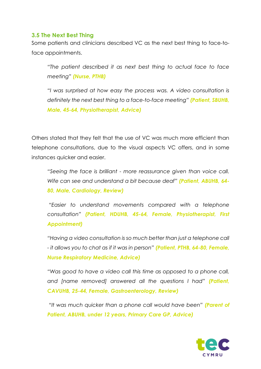#### <span id="page-15-0"></span>**3.5 The Next Best Thing**

Some patients and clinicians described VC as the next best thing to face-toface appointments.

*"The patient described it as next best thing to actual face to face meeting" (Nurse, PTHB)*

*"I was surprised at how easy the process was. A video consultation is definitely the next best thing to a face-to-face meeting" (Patient, SBUHB, Male, 45-64, Physiotherapist, Advice)*

Others stated that they felt that the use of VC was much more efficient than telephone consultations, due to the visual aspects VC offers, and in some instances quicker and easier.

*"Seeing the face is brilliant - more reassurance given than voice call. Wife can see and understand a bit because deaf" (Patient, ABUHB, 64- 80, Male, Cardiology, Review)*

*"Easier to understand movements compared with a telephone consultation" (Patient, HDUHB, 45-64, Female, Physiotherapist, First Appointment)*

*"Having a video consultation is so much better than just a telephone call - it allows you to chat as if it was in person" (Patient, PTHB, 64-80, Female, Nurse Respiratory Medicine, Advice)*

*"Was good to have a video call this time as opposed to a phone call, and [name removed] answered all the questions I had" (Patient, CAVUHB, 25-44, Female, Gastroenterology, Review)*

*"It was much quicker than a phone call would have been" (Parent of Patient, ABUHB, under 12 years, Primary Care GP, Advice)*

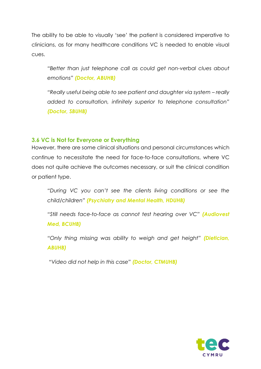The ability to be able to visually 'see' the patient is considered imperative to clinicians, as for many healthcare conditions VC is needed to enable visual cues.

*"Better than just telephone call as could get non-verbal clues about emotions" (Doctor, ABUHB)*

*"Really useful being able to see patient and daughter via system – really added to consultation, infinitely superior to telephone consultation" (Doctor, SBUHB)*

#### <span id="page-16-0"></span>**3.6 VC is Not for Everyone or Everything**

However, there are some clinical situations and personal circumstances which continue to necessitate the need for face-to-face consultations, where VC does not quite achieve the outcomes necessary, or suit the clinical condition or patient type.

*"During VC you can't see the clients living conditions or see the child/children" (Psychiatry and Mental Health, HDUHB)*

*"Still needs face-to-face as cannot test hearing over VC" (Audiovest Med, BCUHB)*

*"Only thing missing was ability to weigh and get height" (Dietician, ABUHB)*

*"Video did not help in this case" (Doctor, CTMUHB)*

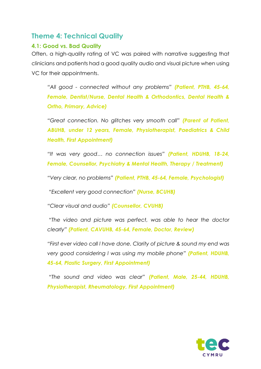## <span id="page-17-0"></span>**Theme 4: Technical Quality**

#### <span id="page-17-1"></span>**4.1: Good vs. Bad Quality**

Often, a high-quality rating of VC was paired with narrative suggesting that clinicians and patients had a good quality audio and visual picture when using VC for their appointments.

*"All good - connected without any problems" (Patient, PTHB, 45-64, Female, Dentist/Nurse, Dental Health & Orthodontics, Dental Health & Ortho, Primary, Advice)*

*"Great connection. No glitches very smooth call" (Parent of Patient, ABUHB, under 12 years, Female, Physiotherapist, Paediatrics & Child Health, First Appointment)*

*"It was very good… no connection issues" (Patient, HDUHB, 18-24, Female, Counsellor, Psychiatry & Mental Health, Therapy / Treatment)*

*"Very clear, no problems" (Patient, PTHB, 45-64, Female, Psychologist)*

*"Excellent very good connection" (Nurse, BCUHB)*

*"Clear visual and audio" (Counsellor, CVUHB)*

*"The video and picture was perfect, was able to hear the doctor clearly" (Patient, CAVUHB, 45-64, Female, Doctor, Review)*

*"First ever video call l have done. Clarity of picture & sound my end was very good considering l was using my mobile phone" (Patient, HDUHB, 45-64, Plastic Surgery, First Appointment)*

*"The sound and video was clear" (Patient, Male, 25-44, HDUHB, Physiotherapist, Rheumatology, First Appointment)*

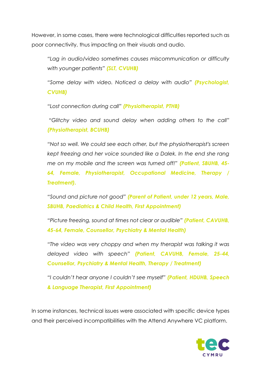However, in some cases, there were technological difficulties reported such as poor connectivity, thus impacting on their visuals and audio.

*"Lag in audio/video sometimes causes miscommunication or difficulty with younger patients" (SLT, CVUHB)*

*"Some delay with video. Noticed a delay with audio" (Psychologist, CVUHB)*

*"Lost connection during call" (Physiotherapist, PTHB)*

*"Glitchy video and sound delay when adding others to the call" (Physiotherapist, BCUHB)*

*"Not so well. We could see each other, but the physiotherapist's screen kept freezing and her voice sounded like a Dalek. In the end she rang me on my mobile and the screen was turned off!" (Patient, SBUHB, 45- 64, Female, Physiotherapist, Occupational Medicine, Therapy / Treatment).* 

*"Sound and picture not good" (Parent of Patient, under 12 years, Male, SBUHB, Paediatrics & Child Health, First Appointment)*

*"Picture freezing, sound at times not clear or audible" (Patient, CAVUHB, 45-64, Female, Counsellor, Psychiatry & Mental Health)*

*"The video was very choppy and when my therapist was talking it was delayed video with speech" (Patient, CAVUHB, Female, 25-44, Counsellor, Psychiatry & Mental Health, Therapy / Treatment)*

*"I couldn't hear anyone I couldn't see myself" (Patient, HDUHB, Speech & Language Therapist, First Appointment)*

In some instances, technical issues were associated with specific device types and their perceived incompatibilities with the Attend Anywhere VC platform.

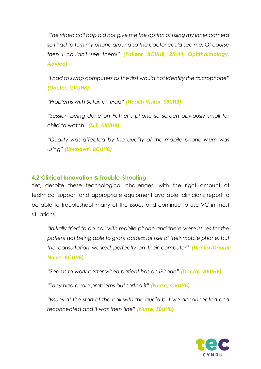*"The video call app did not give me the option of using my inner camera so I had to turn my phone around so the doctor could see me. Of course then I couldn't see them!" (Patient, BCUHB, 25-44, Ophthalmology, Advice)*

*"I had to swap computers as the first would not identify the microphone" (Doctor, CVUHB)*

*"Problems with Safari on iPad" (Health Visitor, SBUHB)*

*"Session being done on Father's phone so screen obviously small for child to watch" (SLT, ABUHB)*

*"Quality was affected by the quality of the mobile phone Mum was using" (Unknown, BCUHB)*

#### <span id="page-19-0"></span>**4.2 Clinical Innovation & Trouble-Shooting**

Yet, despite these technological challenges, with the right amount of technical support and appropriate equipment available, clinicians report to be able to troubleshoot many of the issues and continue to use VC in most situations.

*"Initially tried to do call with mobile phone and there were issues for the patient not being able to grant access for use of their mobile phone, but the consultation worked perfectly on their computer" (Dentist/Dental Nurse, BCUHB)*

*"Seems to work better when patient has an iPhone" (Doctor, ABUHB)*

*"They had audio problems but sorted it" (Nurse, CVUHB)* 

*"Issues at the start of the call with the audio but we disconnected and reconnected and it was then fine" (Nurse, SBUHB)*

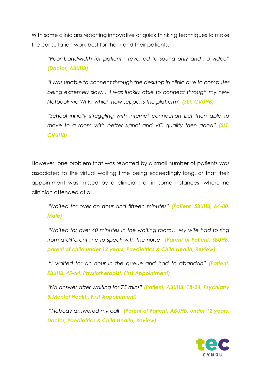With some clinicians reporting innovative or quick thinking techniques to make the consultation work best for them and their patients.

*"Poor bandwidth for patient - reverted to sound only and no video" (Doctor, ABUHB)* 

*"I was unable to connect through the desktop in clinic due to computer being extremely slow.... I was luckily able to connect through my new Netbook via Wi-Fi, which now supports the platform" (SLT, CVUHB)*

*"School initially struggling with internet connection but then able to move to a room with better signal and VC quality then good" (SLT, CVUHB)*

However, one problem that was reported by a small number of patients was associated to the virtual waiting time being exceedingly long, or that their appointment was missed by a clinician, or in some instances, where no clinician attended at all.

*"Waited for over an hour and fifteen minutes" (Patient, SBUHB, 64-80, Male)*

*"Waited for over 40 minutes in the waiting room… My wife had to ring from a different line to speak with the nurse" (Parent of Patient, SBUHB, parent of child under 12 years, Paediatrics & Child Health, Review)*

*"I waited for an hour in the queue and had to abandon" (Patient, SBUHB, 45-64, Physiotherapist, First Appointment)*

*"No answer after waiting for 75 mins" (Patient, ABUHB, 18-24, Psychiatry & Mental Health, First Appointment)*

*"Nobody answered my call" (Parent of Patient, ABUHB, under 12 years, Doctor, Paediatrics & Child Health, Review)*

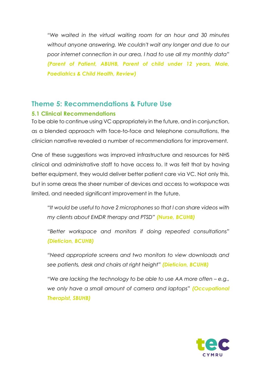*"We waited in the virtual waiting room for an hour and 30 minutes without anyone answering. We couldn't wait any longer and due to our poor internet connection in our area, I had to use all my monthly data" (Parent of Patient, ABUHB, Parent of child under 12 years, Male, Paediatrics & Child Health, Review)*

## <span id="page-21-0"></span>**Theme 5: Recommendations & Future Use**

#### <span id="page-21-1"></span>**5.1 Clinical Recommendations**

To be able to continue using VC appropriately in the future, and in conjunction, as a blended approach with face-to-face and telephone consultations, the clinician narrative revealed a number of recommendations for improvement.

One of these suggestions was improved infrastructure and resources for NHS clinical and administrative staff to have access to. It was felt that by having better equipment, they would deliver better patient care via VC. Not only this, but in some areas the sheer number of devices and access to workspace was limited, and needed significant improvement in the future.

*"It would be useful to have 2 microphones so that I can share videos with my clients about EMDR therapy and PTSD" (Nurse, BCUHB)*

*"Better workspace and monitors if doing repeated consultations" (Dietician, BCUHB)*

*"Need appropriate screens and two monitors to view downloads and see patients, desk and chairs at right height" (Dietician, BCUHB)*

*"We are lacking the technology to be able to use AA more often – e.g., we only have a small amount of camera and laptops" (Occupational Therapist, SBUHB)* 

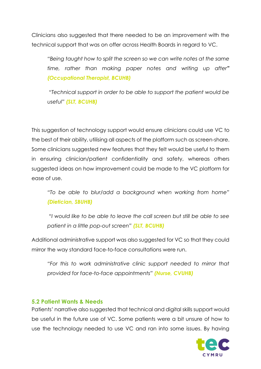Clinicians also suggested that there needed to be an improvement with the technical support that was on offer across Health Boards in regard to VC.

*"Being taught how to split the screen so we can write notes at the same time, rather than making paper notes and writing up after" (Occupational Therapist, BCUHB)*

*"Technical support in order to be able to support the patient would be useful" (SLT, BCUHB)*

This suggestion of technology support would ensure clinicians could use VC to the best of their ability, utilising all aspects of the platform such as screen-share. Some clinicians suggested new features that they felt would be useful to them in ensuring clinician/patient confidentiality and safety, whereas others suggested ideas on how improvement could be made to the VC platform for ease of use.

*"To be able to blur/add a background when working from home" (Dietician, SBUHB)* 

*"I would like to be able to leave the call screen but still be able to see patient in a little pop-out screen" (SLT, BCUHB)*

Additional administrative support was also suggested for VC so that they could mirror the way standard face-to-face consultations were run.

*"For this to work administrative clinic support needed to mirror that provided for face-to-face appointments" (Nurse, CVUHB)*

#### <span id="page-22-0"></span>**5.2 Patient Wants & Needs**

Patients' narrative also suggested that technical and digital skills support would be useful in the future use of VC. Some patients were a bit unsure of how to use the technology needed to use VC and ran into some issues. By having

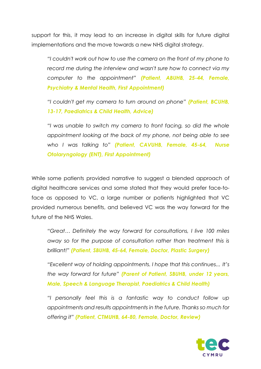support for this, it may lead to an increase in digital skills for future digital implementations and the move towards a new NHS digital strategy.

*"I couldn't work out how to use the camera on the front of my phone to record me during the interview and wasn't sure how to connect via my computer to the appointment" (Patient, ABUHB, 25-44, Female, Psychiatry & Mental Health, First Appointment)*

*"I couldn't get my camera to turn around on phone" (Patient, BCUHB, 13-17, Paediatrics & Child Health, Advice)*

*"I was unable to switch my camera to front facing, so did the whole appointment looking at the back of my phone, not being able to see who I was talking to" (Patient, CAVUHB, Female, 45-64, Nurse Otolaryngology (ENT), First Appointment)*

While some patients provided narrative to suggest a blended approach of digital healthcare services and some stated that they would prefer face-toface as opposed to VC, a large number or patients highlighted that VC provided numerous benefits, and believed VC was the way forward for the future of the NHS Wales.

*"Great… Definitely the way forward for consultations, I live 100 miles away so for the purpose of consultation rather than treatment this is brilliant!" (Patient, SBUHB, 45-64, Female, Doctor, Plastic Surgery)*

*"Excellent way of holding appointments. I hope that this continues... It's the way forward for future" (Parent of Patient, SBUHB, under 12 years, Male, Speech & Language Therapist, Paediatrics & Child Health)*

*"I personally feel this is a fantastic way to conduct follow up appointments and results appointments in the future. Thanks so much for offering it" (Patient, CTMUHB, 64-80, Female, Doctor, Review)*

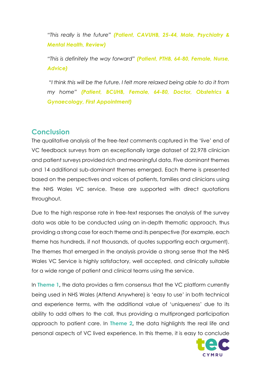*"This really is the future" (Patient, CAVUHB, 25-44, Male, Psychiatry & Mental Health, Review)*

*"This is definitely the way forward" (Patient, PTHB, 64-80, Female, Nurse, Advice)*

*"I think this will be the future. I felt more relaxed being able to do it from my home" (Patient, BCUHB, Female, 64-80, Doctor, Obstetrics & Gynaecology, First Appointment)*

## <span id="page-24-0"></span>**Conclusion**

The qualitative analysis of the free-text comments captured in the 'live' end of VC feedback surveys from an exceptionally large dataset of 22,978 clinician and patient surveys provided rich and meaningful data. Five dominant themes and 14 additional sub-dominant themes emerged. Each theme is presented based on the perspectives and voices of patients, families and clinicians using the NHS Wales VC service. These are supported with direct quotations throughout.

Due to the high response rate in free-text responses the analysis of the survey data was able to be conducted using an in-depth thematic approach, thus providing a strong case for each theme and its perspective (for example, each theme has hundreds, if not thousands, of quotes supporting each argument). The themes that emerged in the analysis provide a strong sense that the NHS Wales VC Service is highly satisfactory, well accepted, and clinically suitable for a wide range of patient and clinical teams using the service.

In **Theme 1,** the data provides a firm consensus that the VC platform currently being used in NHS Wales (Attend Anywhere) is 'easy to use' in both technical and experience terms, with the additional value of 'uniqueness' due to its ability to add others to the call, thus providing a multipronged participation approach to patient care. In **Theme 2,** the data highlights the real life and personal aspects of VC lived experience. In this theme, it is easy to conclude

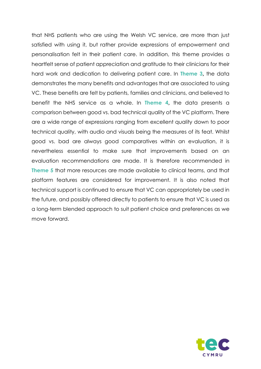that NHS patients who are using the Welsh VC service, are more than just satisfied with using it, but rather provide expressions of empowerment and personalisation felt in their patient care. In addition, this theme provides a heartfelt sense of patient appreciation and gratitude to their clinicians for their hard work and dedication to delivering patient care. In **Theme 3,** the data demonstrates the many benefits and advantages that are associated to using VC. These benefits are felt by patients, families and clinicians, and believed to benefit the NHS service as a whole. In **Theme 4,** the data presents a comparison between good vs. bad technical quality of the VC platform. There are a wide range of expressions ranging from excellent quality down to poor technical quality, with audio and visuals being the measures of its feat. Whilst good vs. bad are always good comparatives within an evaluation, it is nevertheless essential to make sure that improvements based on an evaluation recommendations are made. It is therefore recommended in **Theme 5** that more resources are made available to clinical teams, and that platform features are considered for improvement. It is also noted that technical support is continued to ensure that VC can appropriately be used in the future, and possibly offered directly to patients to ensure that VC is used as a long-term blended approach to suit patient choice and preferences as we move forward.